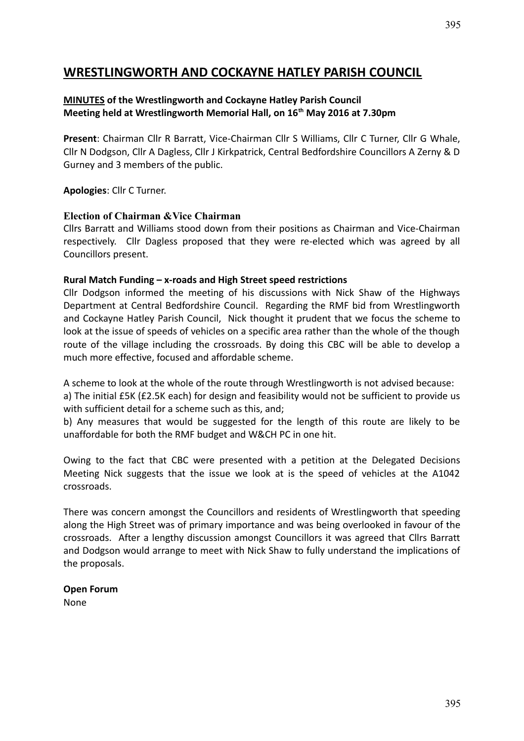## **WRESTLINGWORTH AND COCKAYNE HATLEY PARISH COUNCIL**

#### **MINUTES of the Wrestlingworth and Cockayne Hatley Parish Council Meeting held at Wrestlingworth Memorial Hall, on 16th May 2016 at 7.30pm**

**Present**: Chairman Cllr R Barratt, Vice-Chairman Cllr S Williams, Cllr C Turner, Cllr G Whale, Cllr N Dodgson, Cllr A Dagless, Cllr J Kirkpatrick, Central Bedfordshire Councillors A Zerny & D Gurney and 3 members of the public.

**Apologies**: Cllr C Turner.

#### **Election of Chairman &Vice Chairman**

Cllrs Barratt and Williams stood down from their positions as Chairman and Vice-Chairman respectively. Cllr Dagless proposed that they were re-elected which was agreed by all Councillors present.

#### **Rural Match Funding – x-roads and High Street speed restrictions**

Cllr Dodgson informed the meeting of his discussions with Nick Shaw of the Highways Department at Central Bedfordshire Council. Regarding the RMF bid from Wrestlingworth and Cockayne Hatley Parish Council, Nick thought it prudent that we focus the scheme to look at the issue of speeds of vehicles on a specific area rather than the whole of the though route of the village including the crossroads. By doing this CBC will be able to develop a much more effective, focused and affordable scheme.

A scheme to look at the whole of the route through Wrestlingworth is not advised because: a) The initial £5K (£2.5K each) for design and feasibility would not be sufficient to provide us with sufficient detail for a scheme such as this, and;

b) Any measures that would be suggested for the length of this route are likely to be unaffordable for both the RMF budget and W&CH PC in one hit.

Owing to the fact that CBC were presented with a petition at the Delegated Decisions Meeting Nick suggests that the issue we look at is the speed of vehicles at the A1042 crossroads.

There was concern amongst the Councillors and residents of Wrestlingworth that speeding along the High Street was of primary importance and was being overlooked in favour of the crossroads. After a lengthy discussion amongst Councillors it was agreed that Cllrs Barratt and Dodgson would arrange to meet with Nick Shaw to fully understand the implications of the proposals.

#### **Open Forum**

None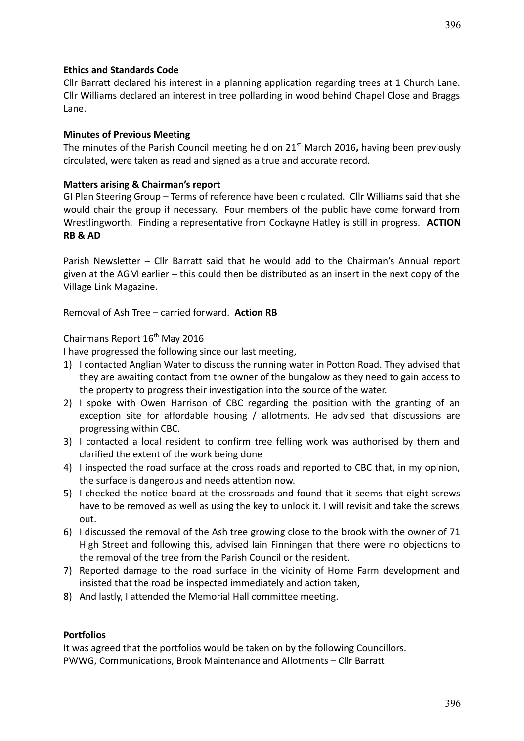Cllr Barratt declared his interest in a planning application regarding trees at 1 Church Lane. Cllr Williams declared an interest in tree pollarding in wood behind Chapel Close and Braggs Lane.

#### **Minutes of Previous Meeting**

The minutes of the Parish Council meeting held on 21<sup>st</sup> March 2016, having been previously circulated, were taken as read and signed as a true and accurate record.

#### **Matters arising & Chairman's report**

GI Plan Steering Group – Terms of reference have been circulated. Cllr Williams said that she would chair the group if necessary. Four members of the public have come forward from Wrestlingworth. Finding a representative from Cockayne Hatley is still in progress. **ACTION RB & AD**

Parish Newsletter – Cllr Barratt said that he would add to the Chairman's Annual report given at the AGM earlier – this could then be distributed as an insert in the next copy of the Village Link Magazine.

Removal of Ash Tree – carried forward. **Action RB**

Chairmans Report 16<sup>th</sup> May 2016

I have progressed the following since our last meeting,

- 1) I contacted Anglian Water to discuss the running water in Potton Road. They advised that they are awaiting contact from the owner of the bungalow as they need to gain access to the property to progress their investigation into the source of the water.
- 2) I spoke with Owen Harrison of CBC regarding the position with the granting of an exception site for affordable housing / allotments. He advised that discussions are progressing within CBC.
- 3) I contacted a local resident to confirm tree felling work was authorised by them and clarified the extent of the work being done
- 4) I inspected the road surface at the cross roads and reported to CBC that, in my opinion, the surface is dangerous and needs attention now.
- 5) I checked the notice board at the crossroads and found that it seems that eight screws have to be removed as well as using the key to unlock it. I will revisit and take the screws out.
- 6) I discussed the removal of the Ash tree growing close to the brook with the owner of 71 High Street and following this, advised Iain Finningan that there were no objections to the removal of the tree from the Parish Council or the resident.
- 7) Reported damage to the road surface in the vicinity of Home Farm development and insisted that the road be inspected immediately and action taken,
- 8) And lastly, I attended the Memorial Hall committee meeting.

#### **Portfolios**

It was agreed that the portfolios would be taken on by the following Councillors. PWWG, Communications, Brook Maintenance and Allotments – Cllr Barratt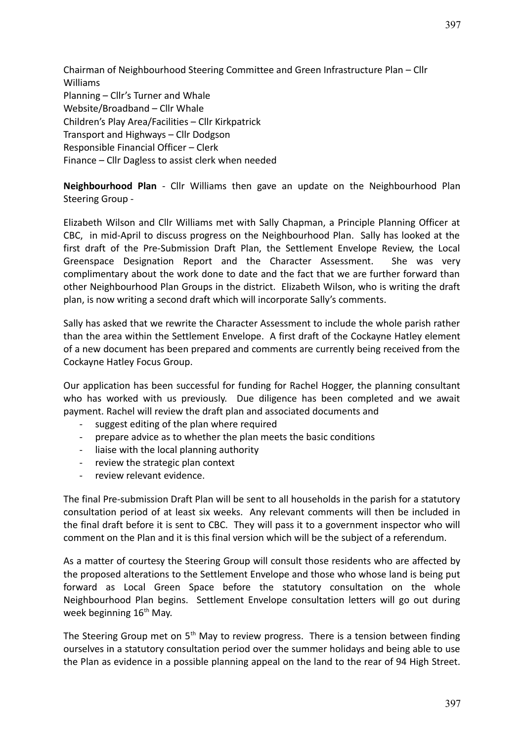Chairman of Neighbourhood Steering Committee and Green Infrastructure Plan – Cllr Williams Planning – Cllr's Turner and Whale Website/Broadband – Cllr Whale Children's Play Area/Facilities – Cllr Kirkpatrick Transport and Highways – Cllr Dodgson Responsible Financial Officer – Clerk Finance – Cllr Dagless to assist clerk when needed

**Neighbourhood Plan** - Cllr Williams then gave an update on the Neighbourhood Plan Steering Group -

Elizabeth Wilson and Cllr Williams met with Sally Chapman, a Principle Planning Officer at CBC, in mid-April to discuss progress on the Neighbourhood Plan. Sally has looked at the first draft of the Pre-Submission Draft Plan, the Settlement Envelope Review, the Local Greenspace Designation Report and the Character Assessment. She was very complimentary about the work done to date and the fact that we are further forward than other Neighbourhood Plan Groups in the district. Elizabeth Wilson, who is writing the draft plan, is now writing a second draft which will incorporate Sally's comments.

Sally has asked that we rewrite the Character Assessment to include the whole parish rather than the area within the Settlement Envelope. A first draft of the Cockayne Hatley element of a new document has been prepared and comments are currently being received from the Cockayne Hatley Focus Group.

Our application has been successful for funding for Rachel Hogger, the planning consultant who has worked with us previously. Due diligence has been completed and we await payment. Rachel will review the draft plan and associated documents and

- suggest editing of the plan where required
- prepare advice as to whether the plan meets the basic conditions
- liaise with the local planning authority
- review the strategic plan context
- review relevant evidence.

The final Pre-submission Draft Plan will be sent to all households in the parish for a statutory consultation period of at least six weeks. Any relevant comments will then be included in the final draft before it is sent to CBC. They will pass it to a government inspector who will comment on the Plan and it is this final version which will be the subject of a referendum.

As a matter of courtesy the Steering Group will consult those residents who are affected by the proposed alterations to the Settlement Envelope and those who whose land is being put forward as Local Green Space before the statutory consultation on the whole Neighbourhood Plan begins. Settlement Envelope consultation letters will go out during week beginning  $16<sup>th</sup>$  May.

The Steering Group met on  $5<sup>th</sup>$  May to review progress. There is a tension between finding ourselves in a statutory consultation period over the summer holidays and being able to use the Plan as evidence in a possible planning appeal on the land to the rear of 94 High Street.

397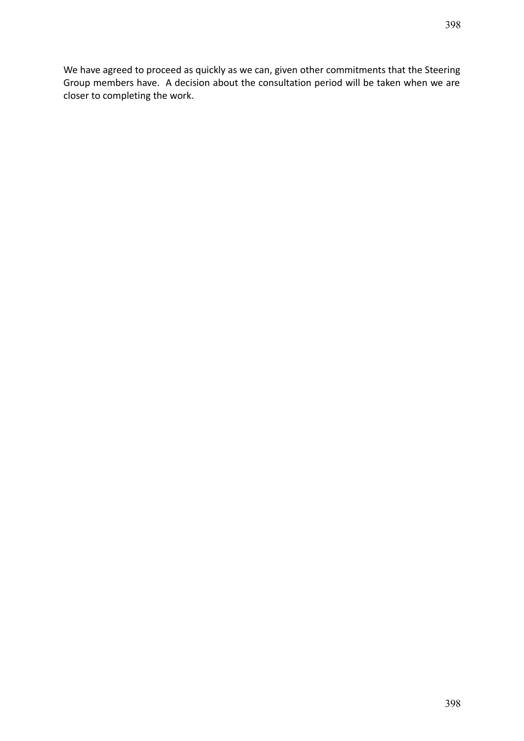We have agreed to proceed as quickly as we can, given other commitments that the Steering Group members have. A decision about the consultation period will be taken when we are closer to completing the work.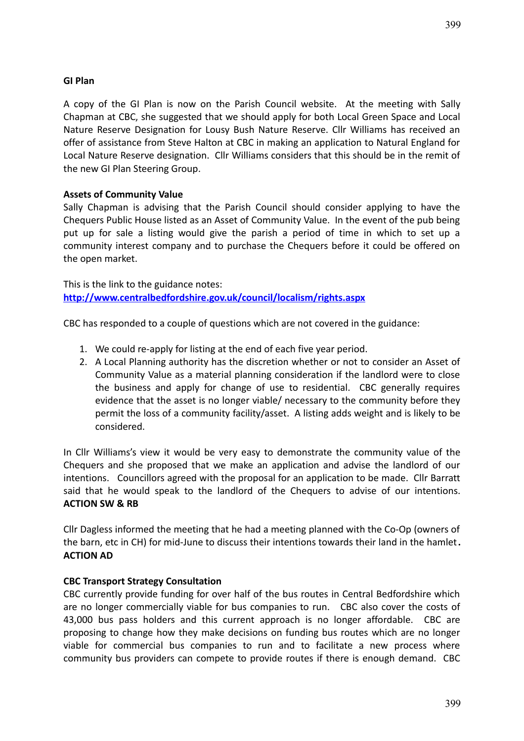## **GI Plan**

A copy of the GI Plan is now on the Parish Council website. At the meeting with Sally Chapman at CBC, she suggested that we should apply for both Local Green Space and Local Nature Reserve Designation for Lousy Bush Nature Reserve. Cllr Williams has received an offer of assistance from Steve Halton at CBC in making an application to Natural England for Local Nature Reserve designation. Cllr Williams considers that this should be in the remit of the new GI Plan Steering Group.

#### **Assets of Community Value**

Sally Chapman is advising that the Parish Council should consider applying to have the Chequers Public House listed as an Asset of Community Value. In the event of the pub being put up for sale a listing would give the parish a period of time in which to set up a community interest company and to purchase the Chequers before it could be offered on the open market.

This is the link to the guidance notes: **<http://www.centralbedfordshire.gov.uk/council/localism/rights.aspx>**

CBC has responded to a couple of questions which are not covered in the guidance:

- 1. We could re-apply for listing at the end of each five year period.
- 2. A Local Planning authority has the discretion whether or not to consider an Asset of Community Value as a material planning consideration if the landlord were to close the business and apply for change of use to residential. CBC generally requires evidence that the asset is no longer viable/ necessary to the community before they permit the loss of a community facility/asset. A listing adds weight and is likely to be considered.

In Cllr Williams's view it would be very easy to demonstrate the community value of the Chequers and she proposed that we make an application and advise the landlord of our intentions. Councillors agreed with the proposal for an application to be made. Cllr Barratt said that he would speak to the landlord of the Chequers to advise of our intentions. **ACTION SW & RB**

Cllr Dagless informed the meeting that he had a meeting planned with the Co-Op (owners of the barn, etc in CH) for mid-June to discuss their intentions towards their land in the hamlet**. ACTION AD**

#### **CBC Transport Strategy Consultation**

CBC currently provide funding for over half of the bus routes in Central Bedfordshire which are no longer commercially viable for bus companies to run. CBC also cover the costs of 43,000 bus pass holders and this current approach is no longer affordable. CBC are proposing to change how they make decisions on funding bus routes which are no longer viable for commercial bus companies to run and to facilitate a new process where community bus providers can compete to provide routes if there is enough demand. CBC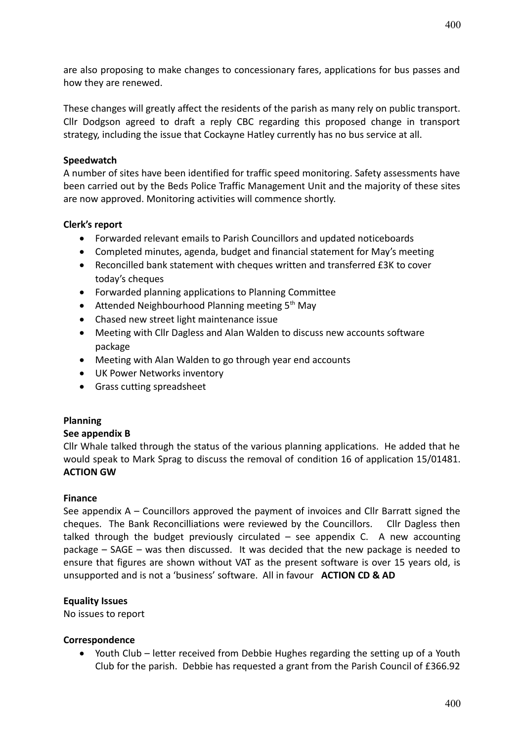are also proposing to make changes to concessionary fares, applications for bus passes and how they are renewed.

These changes will greatly affect the residents of the parish as many rely on public transport. Cllr Dodgson agreed to draft a reply CBC regarding this proposed change in transport strategy, including the issue that Cockayne Hatley currently has no bus service at all.

#### **Speedwatch**

A number of sites have been identified for traffic speed monitoring. Safety assessments have been carried out by the Beds Police Traffic Management Unit and the majority of these sites are now approved. Monitoring activities will commence shortly.

## **Clerk's report**

- Forwarded relevant emails to Parish Councillors and updated noticeboards
- Completed minutes, agenda, budget and financial statement for May's meeting
- Reconcilled bank statement with cheques written and transferred £3K to cover today's cheques
- Forwarded planning applications to Planning Committee
- $\bullet$  Attended Neighbourhood Planning meeting 5<sup>th</sup> May
- Chased new street light maintenance issue
- Meeting with Cllr Dagless and Alan Walden to discuss new accounts software package
- Meeting with Alan Walden to go through year end accounts
- UK Power Networks inventory
- **•** Grass cutting spreadsheet

#### **Planning**

#### **See appendix B**

Cllr Whale talked through the status of the various planning applications. He added that he would speak to Mark Sprag to discuss the removal of condition 16 of application 15/01481. **ACTION GW**

#### **Finance**

See appendix A – Councillors approved the payment of invoices and Cllr Barratt signed the cheques. The Bank Reconcilliations were reviewed by the Councillors. Cllr Dagless then talked through the budget previously circulated  $-$  see appendix C. A new accounting package – SAGE – was then discussed. It was decided that the new package is needed to ensure that figures are shown without VAT as the present software is over 15 years old, is unsupported and is not a 'business' software. All in favour **ACTION CD & AD**

#### **Equality Issues**

No issues to report

#### **Correspondence**

 Youth Club – letter received from Debbie Hughes regarding the setting up of a Youth Club for the parish. Debbie has requested a grant from the Parish Council of £366.92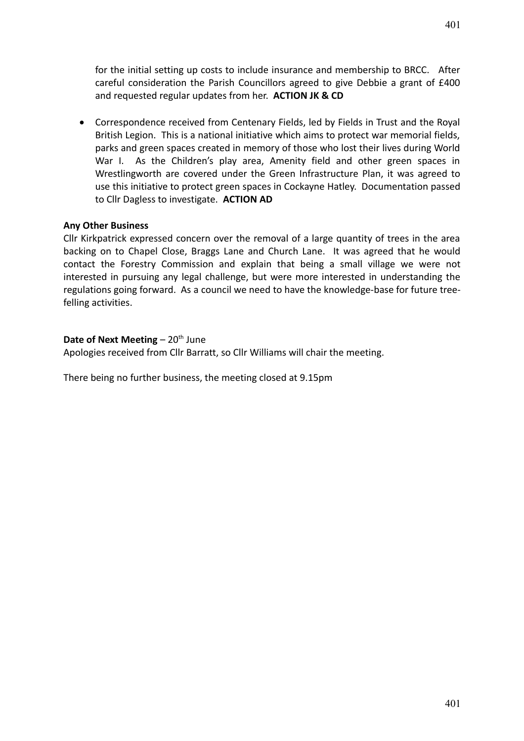Correspondence received from Centenary Fields, led by Fields in Trust and the Royal British Legion. This is a national initiative which aims to protect war memorial fields, parks and green spaces created in memory of those who lost their lives during World War I. As the Children's play area, Amenity field and other green spaces in Wrestlingworth are covered under the Green Infrastructure Plan, it was agreed to use this initiative to protect green spaces in Cockayne Hatley. Documentation passed to Cllr Dagless to investigate. **ACTION AD**

## **Any Other Business**

Cllr Kirkpatrick expressed concern over the removal of a large quantity of trees in the area backing on to Chapel Close, Braggs Lane and Church Lane. It was agreed that he would contact the Forestry Commission and explain that being a small village we were not interested in pursuing any legal challenge, but were more interested in understanding the regulations going forward. As a council we need to have the knowledge-base for future treefelling activities.

#### **Date of Next Meeting** – 20<sup>th</sup> June

Apologies received from Cllr Barratt, so Cllr Williams will chair the meeting.

There being no further business, the meeting closed at 9.15pm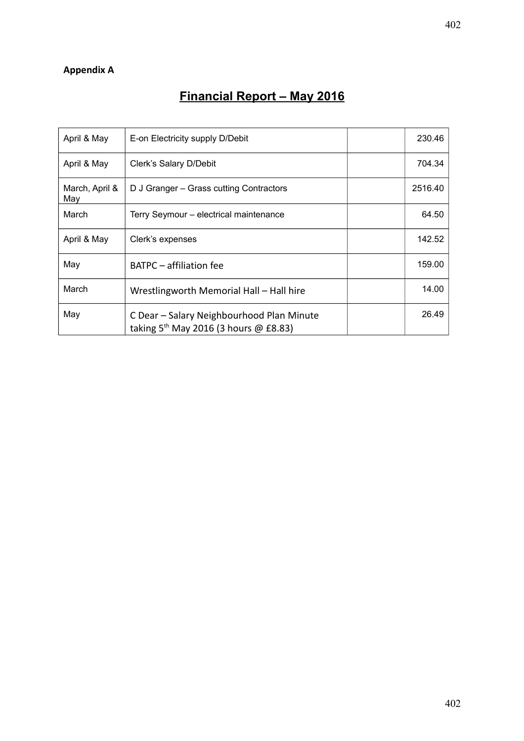## **Appendix A**

# **Financial Report – May 2016**

| April & May           | E-on Electricity supply D/Debit                                                      | 230.46  |
|-----------------------|--------------------------------------------------------------------------------------|---------|
| April & May           | Clerk's Salary D/Debit                                                               | 704.34  |
| March, April &<br>May | D J Granger – Grass cutting Contractors                                              | 2516.40 |
| March                 | Terry Seymour - electrical maintenance                                               | 64.50   |
| April & May           | Clerk's expenses                                                                     | 142.52  |
| May                   | BATPC – affiliation fee                                                              | 159.00  |
| March                 | Wrestlingworth Memorial Hall - Hall hire                                             | 14.00   |
| May                   | C Dear - Salary Neighbourhood Plan Minute<br>taking $5th$ May 2016 (3 hours @ £8.83) | 26.49   |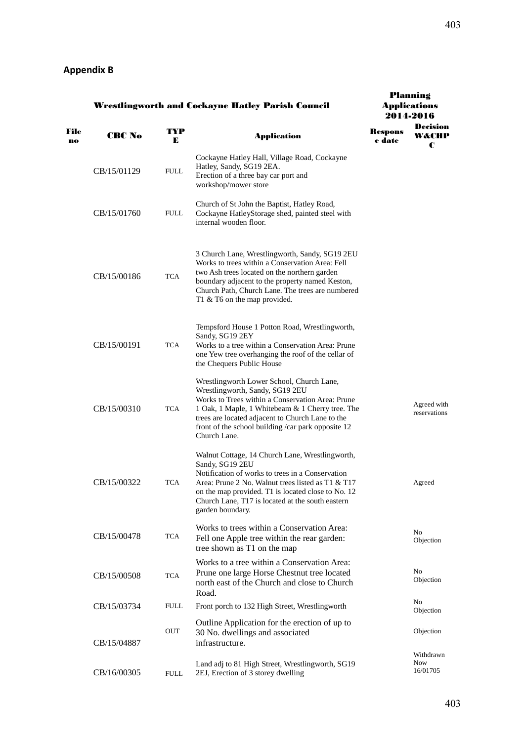| <b>Wrestlingworth and Cockayne Hatley Parish Council</b> |               |             | <b>Planning</b><br><b>Applications</b><br>2014-2016                                                                                                                                                                                                                                                            |                   |                                     |
|----------------------------------------------------------|---------------|-------------|----------------------------------------------------------------------------------------------------------------------------------------------------------------------------------------------------------------------------------------------------------------------------------------------------------------|-------------------|-------------------------------------|
| File<br>no                                               | <b>CBC No</b> | TYP<br>Е    | <b>Application</b>                                                                                                                                                                                                                                                                                             | Respons<br>e date | Decision<br>W&CHP<br>C              |
|                                                          | CB/15/01129   | <b>FULL</b> | Cockayne Hatley Hall, Village Road, Cockayne<br>Hatley, Sandy, SG19 2EA.<br>Erection of a three bay car port and<br>workshop/mower store                                                                                                                                                                       |                   |                                     |
|                                                          | CB/15/01760   | <b>FULL</b> | Church of St John the Baptist, Hatley Road,<br>Cockayne HatleyStorage shed, painted steel with<br>internal wooden floor.                                                                                                                                                                                       |                   |                                     |
|                                                          | CB/15/00186   | TCA         | 3 Church Lane, Wrestlingworth, Sandy, SG19 2EU<br>Works to trees within a Conservation Area: Fell<br>two Ash trees located on the northern garden<br>boundary adjacent to the property named Keston,<br>Church Path, Church Lane. The trees are numbered<br>T1 & T6 on the map provided.                       |                   |                                     |
|                                                          | CB/15/00191   | TCA         | Tempsford House 1 Potton Road, Wrestlingworth,<br>Sandy, SG19 2EY<br>Works to a tree within a Conservation Area: Prune<br>one Yew tree overhanging the roof of the cellar of<br>the Chequers Public House                                                                                                      |                   |                                     |
|                                                          | CB/15/00310   | TCA         | Wrestlingworth Lower School, Church Lane,<br>Wrestlingworth, Sandy, SG19 2EU<br>Works to Trees within a Conservation Area: Prune<br>1 Oak, 1 Maple, 1 Whitebeam & 1 Cherry tree. The<br>trees are located adjacent to Church Lane to the<br>front of the school building /car park opposite 12<br>Church Lane. |                   | Agreed with<br>reservations         |
|                                                          | CB/15/00322   | TCA         | Walnut Cottage, 14 Church Lane, Wrestlingworth,<br>Sandy, SG19 2EU<br>Notification of works to trees in a Conservation<br>Area: Prune 2 No. Walnut trees listed as T1 & T17<br>on the map provided. T1 is located close to No. 12<br>Church Lane, T17 is located at the south eastern<br>garden boundary.      |                   | Agreed                              |
|                                                          | CB/15/00478   | <b>TCA</b>  | Works to trees within a Conservation Area:<br>Fell one Apple tree within the rear garden:<br>tree shown as T1 on the map                                                                                                                                                                                       |                   | No<br>Objection                     |
|                                                          | CB/15/00508   | <b>TCA</b>  | Works to a tree within a Conservation Area:<br>Prune one large Horse Chestnut tree located<br>north east of the Church and close to Church<br>Road.                                                                                                                                                            |                   | No<br>Objection                     |
|                                                          | CB/15/03734   | FULL        | Front porch to 132 High Street, Wrestlingworth                                                                                                                                                                                                                                                                 |                   | N <sub>0</sub><br>Objection         |
|                                                          | CB/15/04887   | OUT         | Outline Application for the erection of up to<br>30 No. dwellings and associated<br>infrastructure.                                                                                                                                                                                                            |                   | Objection                           |
|                                                          | CB/16/00305   | <b>FULL</b> | Land adj to 81 High Street, Wrestlingworth, SG19<br>2EJ, Erection of 3 storey dwelling                                                                                                                                                                                                                         |                   | Withdrawn<br><b>Now</b><br>16/01705 |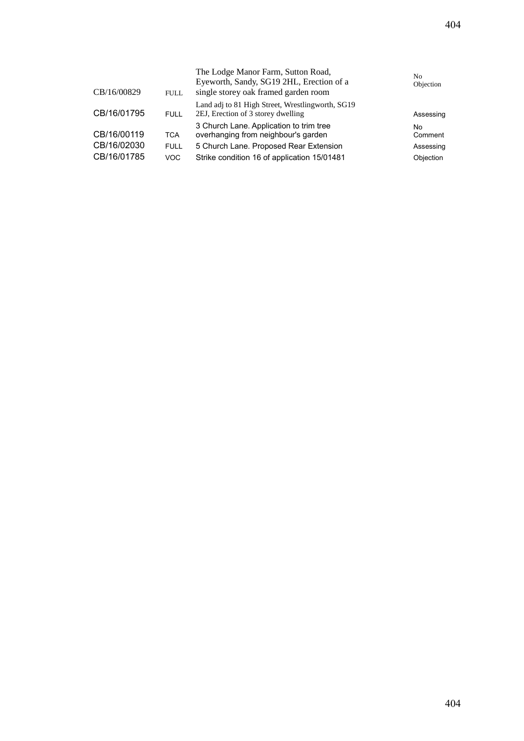| CB/16/00829                               | <b>FULL</b>                       | The Lodge Manor Farm, Sutton Road,<br>Eyeworth, Sandy, SG19 2HL, Erection of a<br>single storey oak framed garden room                                                  | No<br>Objection                                 |
|-------------------------------------------|-----------------------------------|-------------------------------------------------------------------------------------------------------------------------------------------------------------------------|-------------------------------------------------|
| CB/16/01795                               | <b>FULL</b>                       | Land adj to 81 High Street, Wrestlingworth, SG19<br>2EJ, Erection of 3 storey dwelling                                                                                  | Assessing                                       |
| CB/16/00119<br>CB/16/02030<br>CB/16/01785 | <b>TCA</b><br><b>FULL</b><br>VOC. | 3 Church Lane. Application to trim tree<br>overhanging from neighbour's garden<br>5 Church Lane. Proposed Rear Extension<br>Strike condition 16 of application 15/01481 | No.<br>Comment<br>Assessing<br><b>Objection</b> |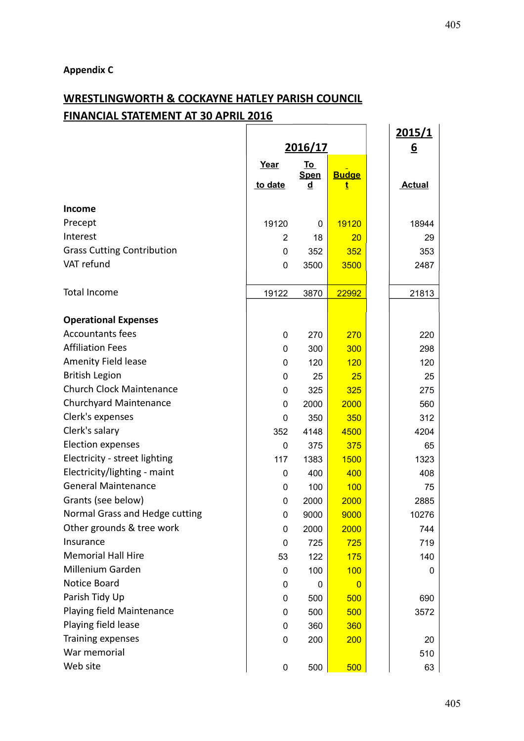## **Appendix C**

# **WRESTLINGWORTH & COCKAYNE HATLEY PARISH COUNCIL FINANCIAL STATEMENT AT 30 APRIL 2016**

|                                   |                |                          |                | <u>2015/1</u> |
|-----------------------------------|----------------|--------------------------|----------------|---------------|
|                                   | 2016/17        |                          |                | <u>6</u>      |
|                                   | Year           | <u>To</u><br><b>Spen</b> | <b>Budge</b>   |               |
|                                   | to date        | d                        | t              | <b>Actual</b> |
| Income                            |                |                          |                |               |
| Precept                           | 19120          | 0                        | 19120          | 18944         |
| Interest                          | $\overline{2}$ | 18                       | 20             | 29            |
| <b>Grass Cutting Contribution</b> | $\mathbf 0$    | 352                      | 352            | 353           |
| VAT refund                        | 0              | 3500                     | 3500           | 2487          |
|                                   |                |                          |                |               |
| <b>Total Income</b>               | 19122          | 3870                     | 22992          | 21813         |
| <b>Operational Expenses</b>       |                |                          |                |               |
| <b>Accountants fees</b>           | 0              | 270                      | 270            | 220           |
| <b>Affiliation Fees</b>           | 0              | 300                      | 300            | 298           |
| Amenity Field lease               | 0              | 120                      | 120            | 120           |
| <b>British Legion</b>             | 0              | 25                       | 25             | 25            |
| <b>Church Clock Maintenance</b>   | 0              | 325                      | 325            | 275           |
| <b>Churchyard Maintenance</b>     | $\mathbf 0$    | 2000                     | 2000           | 560           |
| Clerk's expenses                  | $\mathbf 0$    | 350                      | 350            | 312           |
| Clerk's salary                    | 352            | 4148                     | 4500           | 4204          |
| <b>Election expenses</b>          | 0              | 375                      | 375            | 65            |
| Electricity - street lighting     | 117            | 1383                     | 1500           | 1323          |
| Electricity/lighting - maint      | 0              | 400                      | 400            | 408           |
| <b>General Maintenance</b>        | 0              | 100                      | 100            | 75            |
| Grants (see below)                | 0              | 2000                     | 2000           | 2885          |
| Normal Grass and Hedge cutting    | 0              | 9000                     | 9000           | 10276         |
| Other grounds & tree work         | 0              | 2000                     | 2000           | 744           |
| Insurance                         | $\pmb{0}$      | 725                      | 725            | 719           |
| <b>Memorial Hall Hire</b>         | 53             | 122                      | 175            | 140           |
| Millenium Garden                  | 0              | 100                      | 100            | 0             |
| Notice Board                      | 0              | 0                        | $\overline{0}$ |               |
| Parish Tidy Up                    | 0              | 500                      | 500            | 690           |
| Playing field Maintenance         | 0              | 500                      | 500            | 3572          |
| Playing field lease               | 0              | 360                      | 360            |               |
| Training expenses                 | 0              | 200                      | 200            | 20            |
| War memorial                      |                |                          |                | 510           |
| Web site                          | $\pmb{0}$      | 500                      | 500            | 63            |